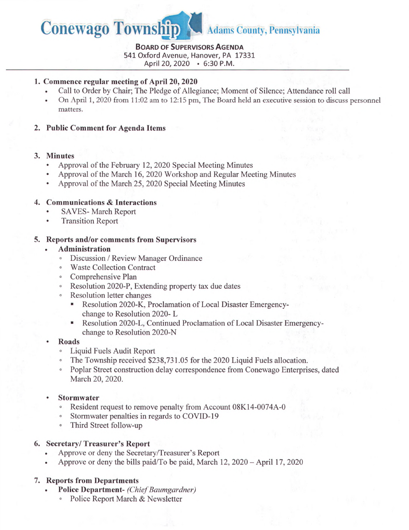

## **Board of Supervisors Agenda**

**541** Oxford Avenue, Hanover, PA **17331**

April **20, 2020 • 6:30** P.M.

## **1. Commence regular meeting of April 20, 2020**

- Call to Order by Chair; The Pledge of Allegiance; Moment of Silence; Attendance roll call
- On April 1, 2020 from 11:02 am to 12:15 pm, The Board held an executive session to discuss personnel matters.
- **2. Public Comment for Agenda Items**

## **3. Minutes**

- Approval of the February 12, 2020 Special Meeting Minutes
- Approval of the March 16, 2020 Workshop and Regular Meeting Minutes
- Approval of the March 25, 2020 Special Meeting Minutes

# **4. Communications & Interactions**

- SAVES-March Report
- Transition Report

## **5. Reports and/or comments from Supervisors**

- **Administration**
	- ° Discussion / Review Manager Ordinance
	- ° Waste Collection Contract
	- ° Comprehensive Plan
	- ° Resolution 2020-P, Extending property tax due dates
	- Resolution letter changes
		- Resolution 2020-K, Proclamation of Local Disaster Emergencychange to Resolution 2020- L
		- Resolution 2020-L, Continued Proclamation of Local Disaster Emergencychange to Resolution 2020-N
- **Roads**
	- ° Liquid Fuels Audit Report
	- The Township received \$238,731.05 for the 2020 Liquid Fuels allocation.
	- ° Poplar Street construction delay correspondence from Conewago Enterprises, dated March 20, 2020.

## **• Stormwater**

- ° Resident request to remove penalty from Account 08K14-0074A-0
- Stormwater penalties in regards to COVID-19
- ° Third Street follow-up

## **6. Secretary/Treasurer's Report**

- Approve or deny the Secretary/Treasurer's Report
- Approve or deny the bills paid/To be paid, March 12, 2020 April 17, 2020

# **7. Reports from Departments**

- **Police Department-** *(Chief Baumgardner)*
	- ° Police Report March & Newsletter